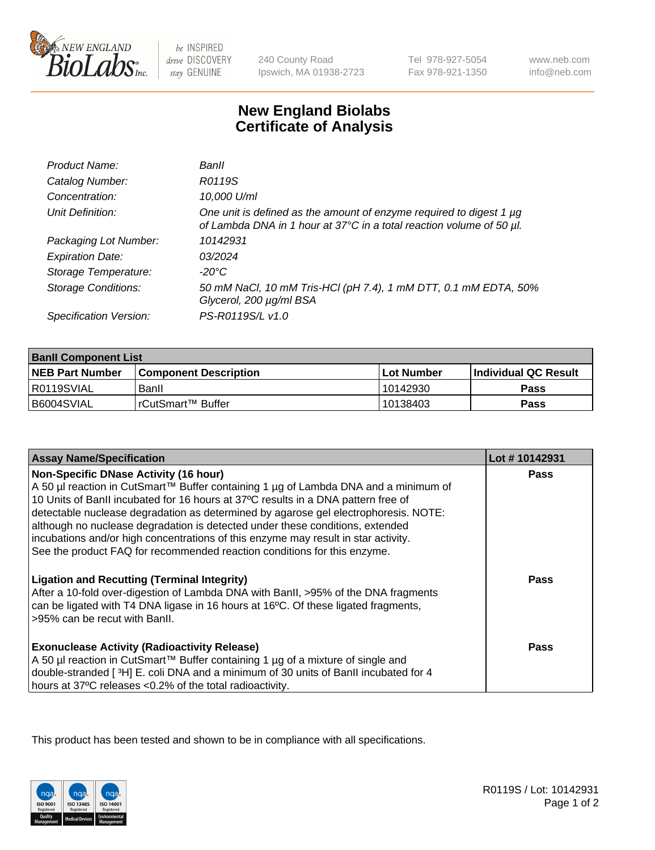

be INSPIRED drive DISCOVERY stay GENUINE

240 County Road Ipswich, MA 01938-2723 Tel 978-927-5054 Fax 978-921-1350

www.neb.com info@neb.com

## **New England Biolabs Certificate of Analysis**

| Product Name:              | Banll                                                                                                                                       |
|----------------------------|---------------------------------------------------------------------------------------------------------------------------------------------|
| Catalog Number:            | R0119S                                                                                                                                      |
| Concentration:             | 10,000 U/ml                                                                                                                                 |
| Unit Definition:           | One unit is defined as the amount of enzyme required to digest 1 µg<br>of Lambda DNA in 1 hour at 37°C in a total reaction volume of 50 µl. |
| Packaging Lot Number:      | 10142931                                                                                                                                    |
| <b>Expiration Date:</b>    | 03/2024                                                                                                                                     |
| Storage Temperature:       | $-20^{\circ}$ C                                                                                                                             |
| <b>Storage Conditions:</b> | 50 mM NaCl, 10 mM Tris-HCl (pH 7.4), 1 mM DTT, 0.1 mM EDTA, 50%<br>Glycerol, 200 µg/ml BSA                                                  |
| Specification Version:     | PS-R0119S/L v1.0                                                                                                                            |

| <b>Banll Component List</b> |                         |             |                             |  |
|-----------------------------|-------------------------|-------------|-----------------------------|--|
| <b>NEB Part Number</b>      | l Component Description | ⊺Lot Number | <b>Individual QC Result</b> |  |
| R0119SVIAL                  | Banll                   | 10142930    | Pass                        |  |
| B6004SVIAL                  | l rCutSmart™ Buffer_    | 10138403    | Pass                        |  |

| <b>Assay Name/Specification</b>                                                                                                                                                                                                                                                                                                        | Lot #10142931 |
|----------------------------------------------------------------------------------------------------------------------------------------------------------------------------------------------------------------------------------------------------------------------------------------------------------------------------------------|---------------|
| <b>Non-Specific DNase Activity (16 hour)</b><br>A 50 µl reaction in CutSmart™ Buffer containing 1 µg of Lambda DNA and a minimum of<br>10 Units of BanII incubated for 16 hours at 37°C results in a DNA pattern free of                                                                                                               | <b>Pass</b>   |
| detectable nuclease degradation as determined by agarose gel electrophoresis. NOTE:<br>although no nuclease degradation is detected under these conditions, extended<br>incubations and/or high concentrations of this enzyme may result in star activity.<br>See the product FAQ for recommended reaction conditions for this enzyme. |               |
| <b>Ligation and Recutting (Terminal Integrity)</b><br>After a 10-fold over-digestion of Lambda DNA with BanII, >95% of the DNA fragments<br>can be ligated with T4 DNA ligase in 16 hours at 16°C. Of these ligated fragments,<br>>95% can be recut with Banll.                                                                        | <b>Pass</b>   |
| <b>Exonuclease Activity (Radioactivity Release)</b><br>A 50 µl reaction in CutSmart™ Buffer containing 1 µg of a mixture of single and<br>double-stranded [3H] E. coli DNA and a minimum of 30 units of BanII incubated for 4<br>hours at 37°C releases <0.2% of the total radioactivity.                                              | Pass          |

This product has been tested and shown to be in compliance with all specifications.